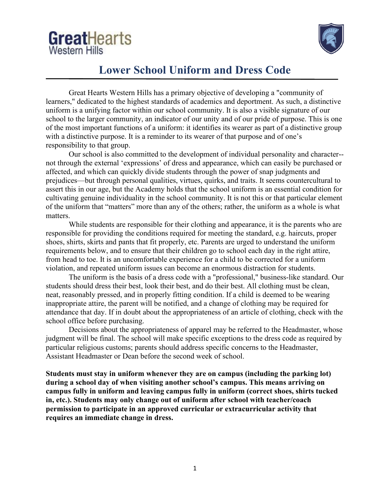



### **Lower School Uniform and Dress Code**

Great Hearts Western Hills has a primary objective of developing a "community of learners," dedicated to the highest standards of academics and deportment. As such, a distinctive uniform is a unifying factor within our school community. It is also a visible signature of our school to the larger community, an indicator of our unity and of our pride of purpose. This is one of the most important functions of a uniform: it identifies its wearer as part of a distinctive group with a distinctive purpose. It is a reminder to its wearer of that purpose and of one's responsibility to that group.

Our school is also committed to the development of individual personality and character- not through the external 'expressions' of dress and appearance, which can easily be purchased or affected, and which can quickly divide students through the power of snap judgments and prejudices—but through personal qualities, virtues, quirks, and traits. It seems countercultural to assert this in our age, but the Academy holds that the school uniform is an essential condition for cultivating genuine individuality in the school community. It is not this or that particular element of the uniform that "matters" more than any of the others; rather, the uniform as a whole is what matters.

While students are responsible for their clothing and appearance, it is the parents who are responsible for providing the conditions required for meeting the standard, e.g. haircuts, proper shoes, shirts, skirts and pants that fit properly, etc. Parents are urged to understand the uniform requirements below, and to ensure that their children go to school each day in the right attire, from head to toe. It is an uncomfortable experience for a child to be corrected for a uniform violation, and repeated uniform issues can become an enormous distraction for students.

The uniform is the basis of a dress code with a "professional," business-like standard. Our students should dress their best, look their best, and do their best. All clothing must be clean, neat, reasonably pressed, and in properly fitting condition. If a child is deemed to be wearing inappropriate attire, the parent will be notified, and a change of clothing may be required for attendance that day. If in doubt about the appropriateness of an article of clothing, check with the school office before purchasing.

Decisions about the appropriateness of apparel may be referred to the Headmaster, whose judgment will be final. The school will make specific exceptions to the dress code as required by particular religious customs; parents should address specific concerns to the Headmaster, Assistant Headmaster or Dean before the second week of school.

**Students must stay in uniform whenever they are on campus (including the parking lot) during a school day of when visiting another school's campus. This means arriving on campus fully in uniform and leaving campus fully in uniform (correct shoes, shirts tucked in, etc.). Students may only change out of uniform after school with teacher/coach permission to participate in an approved curricular or extracurricular activity that requires an immediate change in dress.**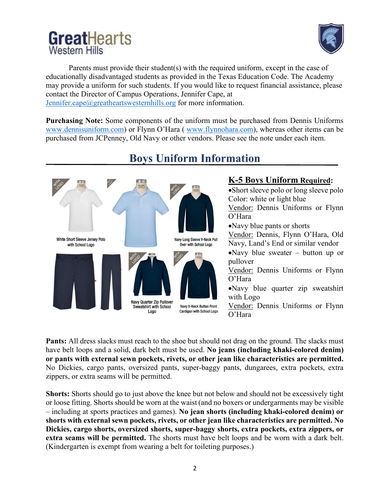# GreatHearts **Western Hills**



Parents must provide their student(s) with the required uniform, except in the case of educationally disadvantaged students as provided in the Texas Education Code. The Academy may provide a uniform for such students. If you would like to request financial assistance, please contact the Director of Campus Operations, Jennifer Cape, at [Jennifer.cape@greatheartswesternhills.org](mailto:Jennifer.cape@greatheartswesternhills.org) for more information.

**Purchasing Note:** Some components of the uniform must be purchased from Dennis Uniforms [www.dennisuniform.com\)](http://www.dennisuniform.com/) or Flynn O'Hara ( [www.flynnohara.com\)](http://www.flynnohara.com/), whereas other items can be purchased from JCPenney, Old Navy or other vendors. Please see the note under each item.



# **Boys Uniform Information**

#### **K-5 Boys Uniform Required:**

•Short sleeve polo or long sleeve polo Color: white or light blue Vendor: Dennis Uniforms or Flynn O'Hara

•Navy blue pants or shorts

Vendor: Dennis, Flynn O'Hara, Old Navy, Land's End or similar vendor

•Navy blue sweater – button up or pullover

Vendor: Dennis Uniforms or Flynn O'Hara

•Navy blue quarter zip sweatshirt with Logo

Vendor: Dennis Uniforms or Flynn O'Hara

**Pants:** All dress slacks must reach to the shoe but should not drag on the ground. The slacks must have belt loops and a solid, dark belt must be used. **No jeans (including khaki-colored denim) or pants with external sewn pockets, rivets, or other jean like characteristics are permitted.** No Dickies, cargo pants, oversized pants, super-baggy pants, dungarees, extra pockets, extra zippers, or extra seams will be permitted.

**Shorts:** Shorts should go to just above the knee but not below and should not be excessively tight or loose fitting. Shorts should be worn at the waist (and no boxers or undergarments may be visible – including at sports practices and games). **No jean shorts (including khaki-colored denim) or shorts with external sewn pockets, rivets, or other jean like characteristics are permitted. No Dickies, cargo shorts, oversized shorts, super-baggy shorts, extra pockets, extra zippers, or extra seams will be permitted.** The shorts must have belt loops and be worn with a dark belt. (Kindergarten is exempt from wearing a belt for toileting purposes.)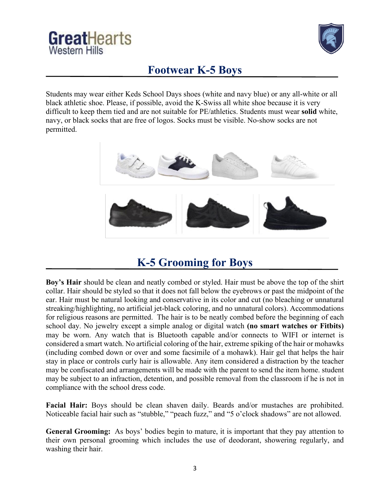



## **Footwear K-5 Boys**

Students may wear either Keds School Days shoes (white and navy blue) or any all-white or all black athletic shoe. Please, if possible, avoid the K-Swiss all white shoe because it is very difficult to keep them tied and are not suitable for PE/athletics. Students must wear **solid** white, navy, or black socks that are free of logos. Socks must be visible. No-show socks are not permitted.



## **K-5 Grooming for Boys**

**Boy's Hair** should be clean and neatly combed or styled. Hair must be above the top of the shirt collar. Hair should be styled so that it does not fall below the eyebrows or past the midpoint of the ear. Hair must be natural looking and conservative in its color and cut (no bleaching or unnatural streaking/highlighting, no artificial jet-black coloring, and no unnatural colors). Accommodations for religious reasons are permitted. The hair is to be neatly combed before the beginning of each school day. No jewelry except a simple analog or digital watch **(no smart watches or Fitbits)** may be worn. Any watch that is Bluetooth capable and/or connects to WIFI or internet is considered a smart watch. No artificial coloring of the hair, extreme spiking of the hair or mohawks (including combed down or over and some facsimile of a mohawk). Hair gel that helps the hair stay in place or controls curly hair is allowable. Any item considered a distraction by the teacher may be confiscated and arrangements will be made with the parent to send the item home. student may be subject to an infraction, detention, and possible removal from the classroom if he is not in compliance with the school dress code.

**Facial Hair:** Boys should be clean shaven daily. Beards and/or mustaches are prohibited. Noticeable facial hair such as "stubble," "peach fuzz," and "5 o'clock shadows" are not allowed.

**General Grooming:** As boys' bodies begin to mature, it is important that they pay attention to their own personal grooming which includes the use of deodorant, showering regularly, and washing their hair.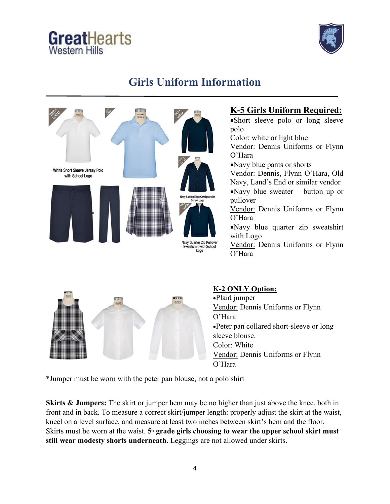# GreatHearts **Western Hills**



## **Girls Uniform Information**



#### **K-5 Girls Uniform Required:**

•Short sleeve polo or long sleeve polo Color: white or light blue Vendor: Dennis Uniforms or Flynn O'Hara •Navy blue pants or shorts Vendor: Dennis, Flynn O'Hara, Old Navy, Land's End or similar vendor •Navy blue sweater – button up or pullover Vendor: Dennis Uniforms or Flynn O'Hara •Navy blue quarter zip sweatshirt with Logo Vendor: Dennis Uniforms or Flynn O'Hara



#### **K-2 ONLY Option:**

•Plaid jumper Vendor: Dennis Uniforms or Flynn O'Hara •Peter pan collared short-sleeve or long sleeve blouse. Color: White Vendor: Dennis Uniforms or Flynn O'Hara

\*Jumper must be worn with the peter pan blouse, not a polo shirt

**Skirts & Jumpers:** The skirt or jumper hem may be no higher than just above the knee, both in front and in back. To measure a correct skirt/jumper length: properly adjust the skirt at the waist, kneel on a level surface, and measure at least two inches between skirt's hem and the floor. Skirts must be worn at the waist. **5<sup>th</sup> grade girls choosing to wear the upper school skirt must still wear modesty shorts underneath.** Leggings are not allowed under skirts.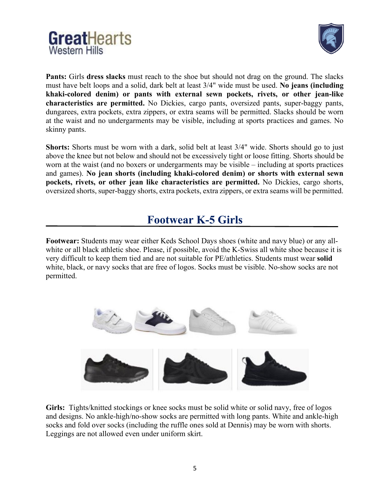



Pants: Girls dress slacks must reach to the shoe but should not drag on the ground. The slacks must have belt loops and a solid, dark belt at least 3/4" wide must be used. **No jeans (including khaki-colored denim) or pants with external sewn pockets, rivets, or other jean-like characteristics are permitted.** No Dickies, cargo pants, oversized pants, super-baggy pants, dungarees, extra pockets, extra zippers, or extra seams will be permitted. Slacks should be worn at the waist and no undergarments may be visible, including at sports practices and games. No skinny pants.

**Shorts:** Shorts must be worn with a dark, solid belt at least 3/4" wide. Shorts should go to just above the knee but not below and should not be excessively tight or loose fitting. Shorts should be worn at the waist (and no boxers or undergarments may be visible – including at sports practices and games). **No jean shorts (including khaki-colored denim) or shorts with external sewn pockets, rivets, or other jean like characteristics are permitted.** No Dickies, cargo shorts, oversized shorts, super-baggy shorts, extra pockets, extra zippers, or extra seams will be permitted.

### **Footwear K-5 Girls**

**Footwear:** Students may wear either Keds School Days shoes (white and navy blue) or any allwhite or all black athletic shoe. Please, if possible, avoid the K-Swiss all white shoe because it is very difficult to keep them tied and are not suitable for PE/athletics. Students must wear **solid** white, black, or navy socks that are free of logos. Socks must be visible. No-show socks are not permitted.



**Girls:** Tights/knitted stockings or knee socks must be solid white or solid navy, free of logos and designs. No ankle-high/no-show socks are permitted with long pants. White and ankle-high socks and fold over socks (including the ruffle ones sold at Dennis) may be worn with shorts. Leggings are not allowed even under uniform skirt.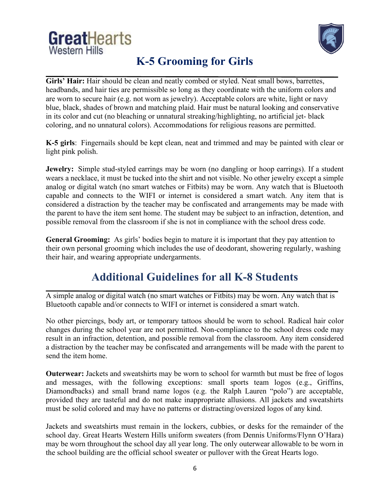# GreatHearts **Western Hills**



# **K-5 Grooming for Girls**

Girls' Hair: Hair should be clean and neatly combed or styled. Neat small bows, barrettes, headbands, and hair ties are permissible so long as they coordinate with the uniform colors and are worn to secure hair (e.g. not worn as jewelry). Acceptable colors are white, light or navy blue, black, shades of brown and matching plaid. Hair must be natural looking and conservative in its color and cut (no bleaching or unnatural streaking/highlighting, no artificial jet-black coloring, and no unnatural colors). Accommodations for religious reasons are permitted.

**K-5 girls**: Fingernails should be kept clean, neat and trimmed and may be painted with clear or light pink polish.

**Jewelry:** Simple stud-styled earrings may be worn (no dangling or hoop earrings). If a student wears a necklace, it must be tucked into the shirt and not visible. No other jewelry except a simple analog or digital watch (no smart watches or Fitbits) may be worn. Any watch that is Bluetooth capable and connects to the WIFI or internet is considered a smart watch. Any item that is considered a distraction by the teacher may be confiscated and arrangements may be made with the parent to have the item sent home. The student may be subject to an infraction, detention, and possible removal from the classroom if she is not in compliance with the school dress code.

**General Grooming:** As girls' bodies begin to mature it is important that they pay attention to their own personal grooming which includes the use of deodorant, showering regularly, washing their hair, and wearing appropriate undergarments.

# **Additional Guidelines for all K-8 Students**

A simple analog or digital watch (no smart watches or Fitbits) may be worn. Any watch that is Bluetooth capable and/or connects to WIFI or internet is considered a smart watch.

No other piercings, body art, or temporary tattoos should be worn to school. Radical hair color changes during the school year are not permitted. Non-compliance to the school dress code may result in an infraction, detention, and possible removal from the classroom. Any item considered a distraction by the teacher may be confiscated and arrangements will be made with the parent to send the item home.

**Outerwear:** Jackets and sweatshirts may be worn to school for warmth but must be free of logos and messages, with the following exceptions: small sports team logos (e.g., Griffins, Diamondbacks) and small brand name logos (e.g. the Ralph Lauren "polo") are acceptable, provided they are tasteful and do not make inappropriate allusions. All jackets and sweatshirts must be solid colored and may have no patterns or distracting/oversized logos of any kind.

Jackets and sweatshirts must remain in the lockers, cubbies, or desks for the remainder of the school day. Great Hearts Western Hills uniform sweaters (from Dennis Uniforms/Flynn O'Hara) may be worn throughout the school day all year long. The only outerwear allowable to be worn in the school building are the official school sweater or pullover with the Great Hearts logo.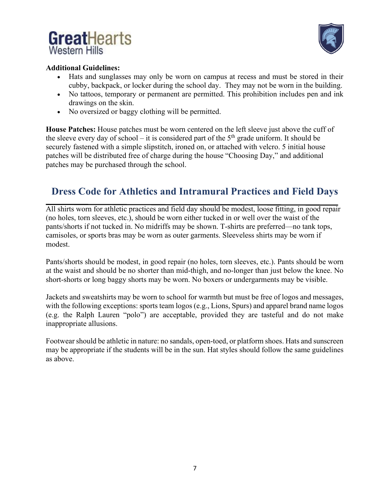



#### **Additional Guidelines:**

- Hats and sunglasses may only be worn on campus at recess and must be stored in their cubby, backpack, or locker during the school day. They may not be worn in the building.
- No tattoos, temporary or permanent are permitted. This prohibition includes pen and ink drawings on the skin.
- No oversized or baggy clothing will be permitted.

**House Patches:** House patches must be worn centered on the left sleeve just above the cuff of the sleeve every day of school – it is considered part of the  $5<sup>th</sup>$  grade uniform. It should be securely fastened with a simple slipstitch, ironed on, or attached with velcro. 5 initial house patches will be distributed free of charge during the house "Choosing Day," and additional patches may be purchased through the school.

#### **Dress Code for Athletics and Intramural Practices and Field Days**

All shirts worn for athletic practices and field day should be modest, loose fitting, in good repair (no holes, torn sleeves, etc.), should be worn either tucked in or well over the waist of the pants/shorts if not tucked in. No midriffs may be shown. T-shirts are preferred—no tank tops, camisoles, or sports bras may be worn as outer garments. Sleeveless shirts may be worn if modest.

Pants/shorts should be modest, in good repair (no holes, torn sleeves, etc.). Pants should be worn at the waist and should be no shorter than mid-thigh, and no-longer than just below the knee. No short-shorts or long baggy shorts may be worn. No boxers or undergarments may be visible.

Jackets and sweatshirts may be worn to school for warmth but must be free of logos and messages, with the following exceptions: sports team logos (e.g., Lions, Spurs) and apparel brand name logos (e.g. the Ralph Lauren "polo") are acceptable, provided they are tasteful and do not make inappropriate allusions.

Footwear should be athletic in nature: no sandals, open-toed, or platform shoes. Hats and sunscreen may be appropriate if the students will be in the sun. Hat styles should follow the same guidelines as above.